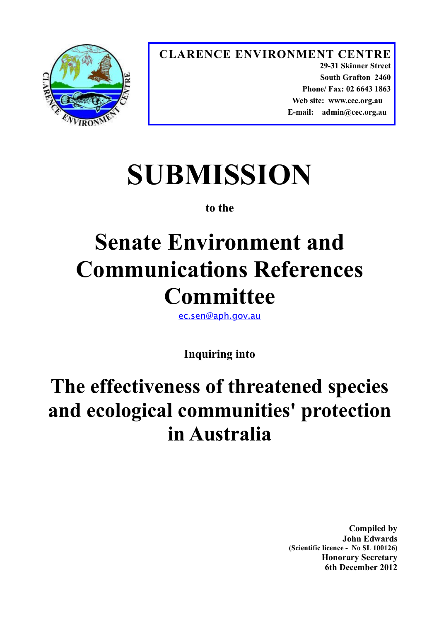

**CLARENCE ENVIRONMENT CENTRE 29-31 Skinner Street South Grafton 2460 Phone/ Fax: 02 6643 1863 Web site: www.cec.org.au E-mail: admin@cec.org.au** 

# **SUBMISSION**

### **to the**

## **Senate Environment and Communications References Committee**

[ec.sen@aph.gov.au](mailto:ec.sen@aph.gov.au)

**Inquiring into**

### **The effectiveness of threatened species and ecological communities' protection in Australia**

**Compiled by John Edwards (Scientific licence - No SL 100126) Honorary Secretary 6th December 2012**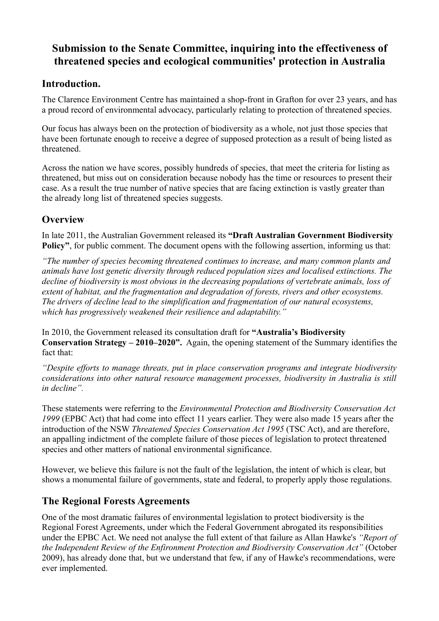#### **Submission to the Senate Committee, inquiring into the effectiveness of threatened species and ecological communities' protection in Australia**

#### **Introduction.**

The Clarence Environment Centre has maintained a shop-front in Grafton for over 23 years, and has a proud record of environmental advocacy, particularly relating to protection of threatened species.

Our focus has always been on the protection of biodiversity as a whole, not just those species that have been fortunate enough to receive a degree of supposed protection as a result of being listed as threatened.

Across the nation we have scores, possibly hundreds of species, that meet the criteria for listing as threatened, but miss out on consideration because nobody has the time or resources to present their case. As a result the true number of native species that are facing extinction is vastly greater than the already long list of threatened species suggests.

#### **Overview**

In late 2011, the Australian Government released its **"Draft Australian Government Biodiversity Policy"**, for public comment. The document opens with the following assertion, informing us that:

*"The number of species becoming threatened continues to increase, and many common plants and animals have lost genetic diversity through reduced population sizes and localised extinctions. The decline of biodiversity is most obvious in the decreasing populations of vertebrate animals, loss of extent of habitat, and the fragmentation and degradation of forests, rivers and other ecosystems. The drivers of decline lead to the simplification and fragmentation of our natural ecosystems, which has progressively weakened their resilience and adaptability."*

In 2010, the Government released its consultation draft for **"Australia's Biodiversity Conservation Strategy – 2010–2020".** Again, the opening statement of the Summary identifies the fact that:

*"Despite efforts to manage threats, put in place conservation programs and integrate biodiversity considerations into other natural resource management processes, biodiversity in Australia is still in decline".* 

These statements were referring to the *Environmental Protection and Biodiversity Conservation Act 1999* (EPBC Act) that had come into effect 11 years earlier. They were also made 15 years after the introduction of the NSW *Threatened Species Conservation Act 1995* (TSC Act), and are therefore, an appalling indictment of the complete failure of those pieces of legislation to protect threatened species and other matters of national environmental significance.

However, we believe this failure is not the fault of the legislation, the intent of which is clear, but shows a monumental failure of governments, state and federal, to properly apply those regulations.

#### **The Regional Forests Agreements**

One of the most dramatic failures of environmental legislation to protect biodiversity is the Regional Forest Agreements, under which the Federal Government abrogated its responsibilities under the EPBC Act. We need not analyse the full extent of that failure as Allan Hawke's *"Report of the Independent Review of the Enfironment Protection and Biodiversity Conservation Act"* (October 2009), has already done that, but we understand that few, if any of Hawke's recommendations, were ever implemented.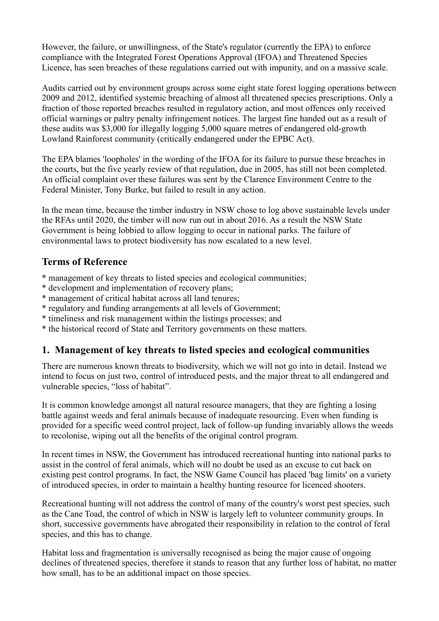However, the failure, or unwillingness, of the State's regulator (currently the EPA) to enforce compliance with the Integrated Forest Operations Approval (IFOA) and Threatened Species Licence, has seen breaches of these regulations carried out with impunity, and on a massive scale.

Audits carried out by environment groups across some eight state forest logging operations between 2009 and 2012, identified systemic breaching of almost all threatened species prescriptions. Only a fraction of those reported breaches resulted in regulatory action, and most offences only received official warnings or paltry penalty infringement notices. The largest fine handed out as a result of these audits was \$3,000 for illegally logging 5,000 square metres of endangered old-growth Lowland Rainforest community (critically endangered under the EPBC Act).

The EPA blames 'loopholes' in the wording of the IFOA for its failure to pursue these breaches in the courts, but the five yearly review of that regulation, due in 2005, has still not been completed. An official complaint over these failures was sent by the Clarence Environment Centre to the Federal Minister, Tony Burke, but failed to result in any action.

In the mean time, because the timber industry in NSW chose to log above sustainable levels under the RFAs until 2020, the timber will now run out in about 2016. As a result the NSW State Government is being lobbied to allow logging to occur in national parks. The failure of environmental laws to protect biodiversity has now escalated to a new level.

#### **Terms of Reference**

- \* management of key threats to listed species and ecological communities;
- \* development and implementation of recovery plans;
- \* management of critical habitat across all land tenures;
- \* regulatory and funding arrangements at all levels of Government;
- \* timeliness and risk management within the listings processes; and
- \* the historical record of State and Territory governments on these matters.

#### **1. Management of key threats to listed species and ecological communities**

There are numerous known threats to biodiversity, which we will not go into in detail. Instead we intend to focus on just two, control of introduced pests, and the major threat to all endangered and vulnerable species, "loss of habitat".

It is common knowledge amongst all natural resource managers, that they are fighting a losing battle against weeds and feral animals because of inadequate resourcing. Even when funding is provided for a specific weed control project, lack of follow-up funding invariably allows the weeds to recolonise, wiping out all the benefits of the original control program.

In recent times in NSW, the Government has introduced recreational hunting into national parks to assist in the control of feral animals, which will no doubt be used as an excuse to cut back on existing pest control programs. In fact, the NSW Game Council has placed 'bag limits' on a variety of introduced species, in order to maintain a healthy hunting resource for licenced shooters.

Recreational hunting will not address the control of many of the country's worst pest species, such as the Cane Toad, the control of which in NSW is largely left to volunteer community groups. In short, successive governments have abrogated their responsibility in relation to the control of feral species, and this has to change.

Habitat loss and fragmentation is universally recognised as being the major cause of ongoing declines of threatened species, therefore it stands to reason that any further loss of habitat, no matter how small, has to be an additional impact on those species.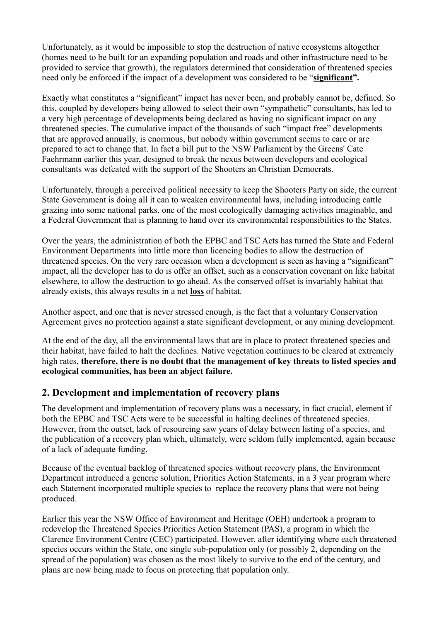Unfortunately, as it would be impossible to stop the destruction of native ecosystems altogether (homes need to be built for an expanding population and roads and other infrastructure need to be provided to service that growth), the regulators determined that consideration of threatened species need only be enforced if the impact of a development was considered to be "**significant".**

Exactly what constitutes a "significant" impact has never been, and probably cannot be, defined. So this, coupled by developers being allowed to select their own "sympathetic" consultants, has led to a very high percentage of developments being declared as having no significant impact on any threatened species. The cumulative impact of the thousands of such "impact free" developments that are approved annually, is enormous, but nobody within government seems to care or are prepared to act to change that. In fact a bill put to the NSW Parliament by the Greens' Cate Faehrmann earlier this year, designed to break the nexus between developers and ecological consultants was defeated with the support of the Shooters an Christian Democrats.

Unfortunately, through a perceived political necessity to keep the Shooters Party on side, the current State Government is doing all it can to weaken environmental laws, including introducing cattle grazing into some national parks, one of the most ecologically damaging activities imaginable, and a Federal Government that is planning to hand over its environmental responsibilities to the States.

Over the years, the administration of both the EPBC and TSC Acts has turned the State and Federal Environment Departments into little more than licencing bodies to allow the destruction of threatened species. On the very rare occasion when a development is seen as having a "significant" impact, all the developer has to do is offer an offset, such as a conservation covenant on like habitat elsewhere, to allow the destruction to go ahead. As the conserved offset is invariably habitat that already exists, this always results in a net **loss** of habitat.

Another aspect, and one that is never stressed enough, is the fact that a voluntary Conservation Agreement gives no protection against a state significant development, or any mining development.

At the end of the day, all the environmental laws that are in place to protect threatened species and their habitat, have failed to halt the declines. Native vegetation continues to be cleared at extremely high rates, **therefore, there is no doubt that the management of key threats to listed species and ecological communities, has been an abject failure.**

#### **2. Development and implementation of recovery plans**

The development and implementation of recovery plans was a necessary, in fact crucial, element if both the EPBC and TSC Acts were to be successful in halting declines of threatened species. However, from the outset, lack of resourcing saw years of delay between listing of a species, and the publication of a recovery plan which, ultimately, were seldom fully implemented, again because of a lack of adequate funding.

Because of the eventual backlog of threatened species without recovery plans, the Environment Department introduced a generic solution, Priorities Action Statements, in a 3 year program where each Statement incorporated multiple species to replace the recovery plans that were not being produced.

Earlier this year the NSW Office of Environment and Heritage (OEH) undertook a program to redevelop the Threatened Species Priorities Action Statement (PAS), a program in which the Clarence Environment Centre (CEC) participated. However, after identifying where each threatened species occurs within the State, one single sub-population only (or possibly 2, depending on the spread of the population) was chosen as the most likely to survive to the end of the century, and plans are now being made to focus on protecting that population only.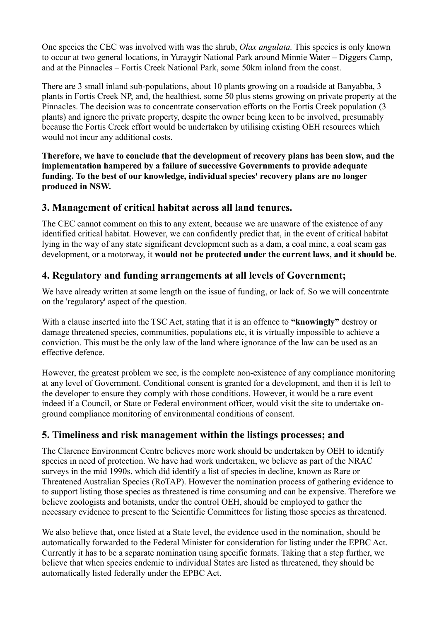One species the CEC was involved with was the shrub, *Olax angulata.* This species is only known to occur at two general locations, in Yuraygir National Park around Minnie Water – Diggers Camp, and at the Pinnacles – Fortis Creek National Park, some 50km inland from the coast.

There are 3 small inland sub-populations, about 10 plants growing on a roadside at Banyabba, 3 plants in Fortis Creek NP, and, the healthiest, some 50 plus stems growing on private property at the Pinnacles. The decision was to concentrate conservation efforts on the Fortis Creek population (3 plants) and ignore the private property, despite the owner being keen to be involved, presumably because the Fortis Creek effort would be undertaken by utilising existing OEH resources which would not incur any additional costs.

**Therefore, we have to conclude that the development of recovery plans has been slow, and the implementation hampered by a failure of successive Governments to provide adequate funding. To the best of our knowledge, individual species' recovery plans are no longer produced in NSW.**

#### **3. Management of critical habitat across all land tenures.**

The CEC cannot comment on this to any extent, because we are unaware of the existence of any identified critical habitat. However, we can confidently predict that, in the event of critical habitat lying in the way of any state significant development such as a dam, a coal mine, a coal seam gas development, or a motorway, it **would not be protected under the current laws, and it should be**.

#### **4. Regulatory and funding arrangements at all levels of Government;**

We have already written at some length on the issue of funding, or lack of. So we will concentrate on the 'regulatory' aspect of the question.

With a clause inserted into the TSC Act, stating that it is an offence to **"knowingly"** destroy or damage threatened species, communities, populations etc, it is virtually impossible to achieve a conviction. This must be the only law of the land where ignorance of the law can be used as an effective defence.

However, the greatest problem we see, is the complete non-existence of any compliance monitoring at any level of Government. Conditional consent is granted for a development, and then it is left to the developer to ensure they comply with those conditions. However, it would be a rare event indeed if a Council, or State or Federal environment officer, would visit the site to undertake onground compliance monitoring of environmental conditions of consent.

#### **5. Timeliness and risk management within the listings processes; and**

The Clarence Environment Centre believes more work should be undertaken by OEH to identify species in need of protection. We have had work undertaken, we believe as part of the NRAC surveys in the mid 1990s, which did identify a list of species in decline, known as Rare or Threatened Australian Species (RoTAP). However the nomination process of gathering evidence to to support listing those species as threatened is time consuming and can be expensive. Therefore we believe zoologists and botanists, under the control OEH, should be employed to gather the necessary evidence to present to the Scientific Committees for listing those species as threatened.

We also believe that, once listed at a State level, the evidence used in the nomination, should be automatically forwarded to the Federal Minister for consideration for listing under the EPBC Act. Currently it has to be a separate nomination using specific formats. Taking that a step further, we believe that when species endemic to individual States are listed as threatened, they should be automatically listed federally under the EPBC Act.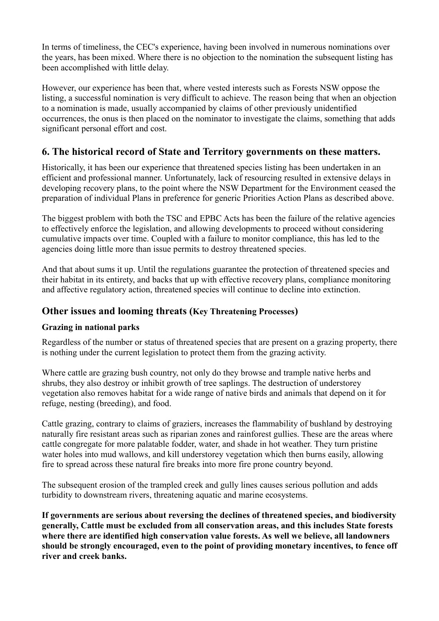In terms of timeliness, the CEC's experience, having been involved in numerous nominations over the years, has been mixed. Where there is no objection to the nomination the subsequent listing has been accomplished with little delay.

However, our experience has been that, where vested interests such as Forests NSW oppose the listing, a successful nomination is very difficult to achieve. The reason being that when an objection to a nomination is made, usually accompanied by claims of other previously unidentified occurrences, the onus is then placed on the nominator to investigate the claims, something that adds significant personal effort and cost.

#### **6. The historical record of State and Territory governments on these matters.**

Historically, it has been our experience that threatened species listing has been undertaken in an efficient and professional manner. Unfortunately, lack of resourcing resulted in extensive delays in developing recovery plans, to the point where the NSW Department for the Environment ceased the preparation of individual Plans in preference for generic Priorities Action Plans as described above.

The biggest problem with both the TSC and EPBC Acts has been the failure of the relative agencies to effectively enforce the legislation, and allowing developments to proceed without considering cumulative impacts over time. Coupled with a failure to monitor compliance, this has led to the agencies doing little more than issue permits to destroy threatened species.

And that about sums it up. Until the regulations guarantee the protection of threatened species and their habitat in its entirety, and backs that up with effective recovery plans, compliance monitoring and affective regulatory action, threatened species will continue to decline into extinction.

#### **Other issues and looming threats (Key Threatening Processes)**

#### **Grazing in national parks**

Regardless of the number or status of threatened species that are present on a grazing property, there is nothing under the current legislation to protect them from the grazing activity.

Where cattle are grazing bush country, not only do they browse and trample native herbs and shrubs, they also destroy or inhibit growth of tree saplings. The destruction of understorey vegetation also removes habitat for a wide range of native birds and animals that depend on it for refuge, nesting (breeding), and food.

Cattle grazing, contrary to claims of graziers, increases the flammability of bushland by destroying naturally fire resistant areas such as riparian zones and rainforest gullies. These are the areas where cattle congregate for more palatable fodder, water, and shade in hot weather. They turn pristine water holes into mud wallows, and kill understorey vegetation which then burns easily, allowing fire to spread across these natural fire breaks into more fire prone country beyond.

The subsequent erosion of the trampled creek and gully lines causes serious pollution and adds turbidity to downstream rivers, threatening aquatic and marine ecosystems.

**If governments are serious about reversing the declines of threatened species, and biodiversity generally, Cattle must be excluded from all conservation areas, and this includes State forests where there are identified high conservation value forests. As well we believe, all landowners should be strongly encouraged, even to the point of providing monetary incentives, to fence off river and creek banks.**